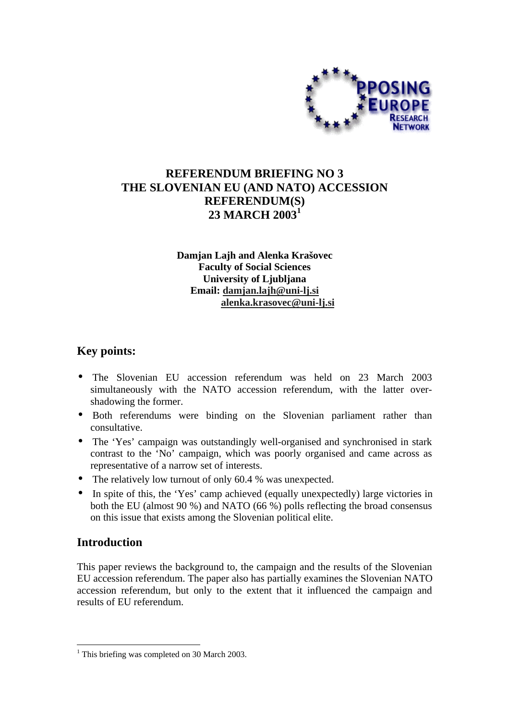

# **REFERENDUM BRIEFING NO 3 THE SLOVENIAN EU (AND NATO) ACCESSION REFERENDUM(S) 23 MARCH 2003<sup>1</sup>**

**Damjan Lajh and Alenka Krašovec Faculty of Social Sciences University of Ljubljana Email: damjan.lajh@uni-lj.si alenka.krasovec@uni-lj.si**

## **Key points:**

- The Slovenian EU accession referendum was held on 23 March 2003 simultaneously with the NATO accession referendum, with the latter overshadowing the former.
- Both referendums were binding on the Slovenian parliament rather than consultative.
- The 'Yes' campaign was outstandingly well-organised and synchronised in stark contrast to the 'No' campaign, which was poorly organised and came across as representative of a narrow set of interests.
- The relatively low turnout of only 60.4 % was unexpected.
- In spite of this, the 'Yes' camp achieved (equally unexpectedly) large victories in both the EU (almost 90 %) and NATO (66 %) polls reflecting the broad consensus on this issue that exists among the Slovenian political elite.

## **Introduction**

This paper reviews the background to, the campaign and the results of the Slovenian EU accession referendum. The paper also has partially examines the Slovenian NATO accession referendum, but only to the extent that it influenced the campaign and results of EU referendum.

 $\overline{a}$ <sup>1</sup> This briefing was completed on 30 March 2003.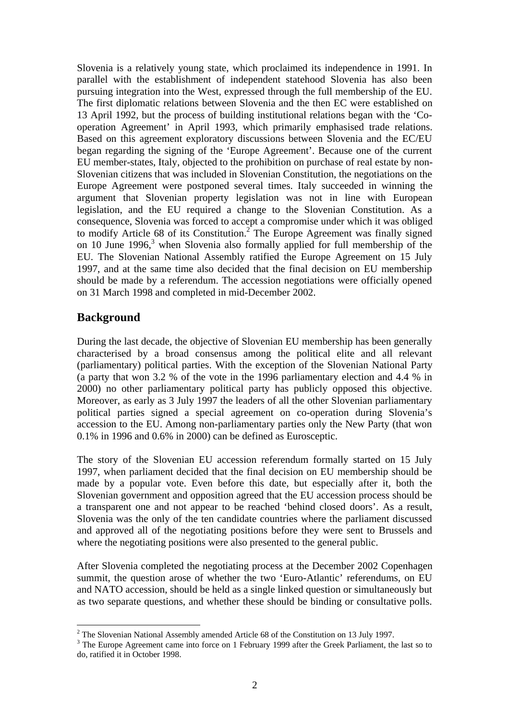Slovenia is a relatively young state, which proclaimed its independence in 1991. In parallel with the establishment of independent statehood Slovenia has also been pursuing integration into the West, expressed through the full membership of the EU. The first diplomatic relations between Slovenia and the then EC were established on 13 April 1992, but the process of building institutional relations began with the 'Cooperation Agreement' in April 1993, which primarily emphasised trade relations. Based on this agreement exploratory discussions between Slovenia and the EC/EU began regarding the signing of the 'Europe Agreement'. Because one of the current EU member-states, Italy, objected to the prohibition on purchase of real estate by non-Slovenian citizens that was included in Slovenian Constitution, the negotiations on the Europe Agreement were postponed several times. Italy succeeded in winning the argument that Slovenian property legislation was not in line with European legislation, and the EU required a change to the Slovenian Constitution. As a consequence, Slovenia was forced to accept a compromise under which it was obliged to modify Article 68 of its Constitution.<sup>2</sup> The Europe Agreement was finally signed on 10 June 1996,<sup>3</sup> when Slovenia also formally applied for full membership of the EU. The Slovenian National Assembly ratified the Europe Agreement on 15 July 1997, and at the same time also decided that the final decision on EU membership should be made by a referendum. The accession negotiations were officially opened on 31 March 1998 and completed in mid-December 2002.

## **Background**

During the last decade, the objective of Slovenian EU membership has been generally characterised by a broad consensus among the political elite and all relevant (parliamentary) political parties. With the exception of the Slovenian National Party (a party that won 3.2 % of the vote in the 1996 parliamentary election and 4.4 % in 2000) no other parliamentary political party has publicly opposed this objective. Moreover, as early as 3 July 1997 the leaders of all the other Slovenian parliamentary political parties signed a special agreement on co-operation during Slovenia's accession to the EU. Among non-parliamentary parties only the New Party (that won 0.1% in 1996 and 0.6% in 2000) can be defined as Eurosceptic.

The story of the Slovenian EU accession referendum formally started on 15 July 1997, when parliament decided that the final decision on EU membership should be made by a popular vote. Even before this date, but especially after it, both the Slovenian government and opposition agreed that the EU accession process should be a transparent one and not appear to be reached 'behind closed doors'. As a result, Slovenia was the only of the ten candidate countries where the parliament discussed and approved all of the negotiating positions before they were sent to Brussels and where the negotiating positions were also presented to the general public.

After Slovenia completed the negotiating process at the December 2002 Copenhagen summit, the question arose of whether the two 'Euro-Atlantic' referendums, on EU and NATO accession, should be held as a single linked question or simultaneously but as two separate questions, and whether these should be binding or consultative polls.

<sup>&</sup>lt;sup>2</sup> The Slovenian National Assembly amended Article 68 of the Constitution on 13 July 1997.

 $3$  The Europe Agreement came into force on 1 February 1999 after the Greek Parliament, the last so to do, ratified it in October 1998.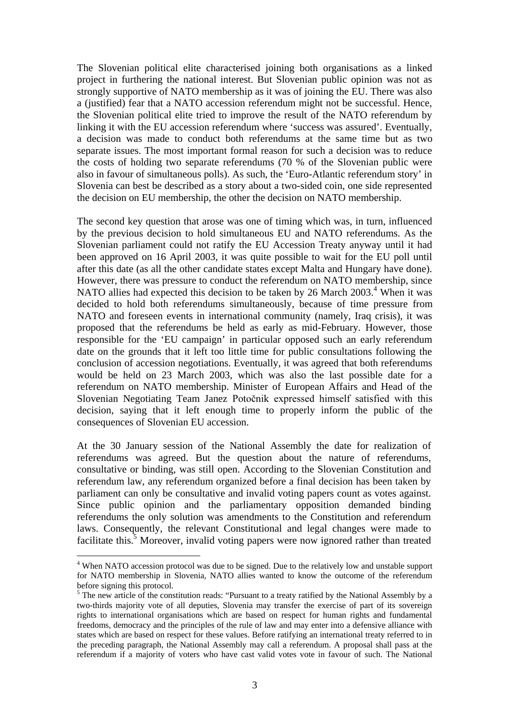The Slovenian political elite characterised joining both organisations as a linked project in furthering the national interest. But Slovenian public opinion was not as strongly supportive of NATO membership as it was of joining the EU. There was also a (justified) fear that a NATO accession referendum might not be successful. Hence, the Slovenian political elite tried to improve the result of the NATO referendum by linking it with the EU accession referendum where 'success was assured'. Eventually, a decision was made to conduct both referendums at the same time but as two separate issues. The most important formal reason for such a decision was to reduce the costs of holding two separate referendums (70 % of the Slovenian public were also in favour of simultaneous polls). As such, the 'Euro-Atlantic referendum story' in Slovenia can best be described as a story about a two-sided coin, one side represented the decision on EU membership, the other the decision on NATO membership.

The second key question that arose was one of timing which was, in turn, influenced by the previous decision to hold simultaneous EU and NATO referendums. As the Slovenian parliament could not ratify the EU Accession Treaty anyway until it had been approved on 16 April 2003, it was quite possible to wait for the EU poll until after this date (as all the other candidate states except Malta and Hungary have done). However, there was pressure to conduct the referendum on NATO membership, since NATO allies had expected this decision to be taken by 26 March 2003.<sup>4</sup> When it was decided to hold both referendums simultaneously, because of time pressure from NATO and foreseen events in international community (namely, Iraq crisis), it was proposed that the referendums be held as early as mid-February. However, those responsible for the 'EU campaign' in particular opposed such an early referendum date on the grounds that it left too little time for public consultations following the conclusion of accession negotiations. Eventually, it was agreed that both referendums would be held on 23 March 2003, which was also the last possible date for a referendum on NATO membership. Minister of European Affairs and Head of the Slovenian Negotiating Team Janez Potočnik expressed himself satisfied with this decision, saying that it left enough time to properly inform the public of the consequences of Slovenian EU accession.

At the 30 January session of the National Assembly the date for realization of referendums was agreed. But the question about the nature of referendums, consultative or binding, was still open. According to the Slovenian Constitution and referendum law, any referendum organized before a final decision has been taken by parliament can only be consultative and invalid voting papers count as votes against. Since public opinion and the parliamentary opposition demanded binding referendums the only solution was amendments to the Constitution and referendum laws. Consequently, the relevant Constitutional and legal changes were made to facilitate this.<sup>5</sup> Moreover, invalid voting papers were now ignored rather than treated

 $\overline{a}$ 

<sup>&</sup>lt;sup>4</sup> When NATO accession protocol was due to be signed. Due to the relatively low and unstable support for NATO membership in Slovenia, NATO allies wanted to know the outcome of the referendum before signing this protocol.

<sup>&</sup>lt;sup>5</sup> The new article of the constitution reads: "Pursuant to a treaty ratified by the National Assembly by a two-thirds majority vote of all deputies, Slovenia may transfer the exercise of part of its sovereign rights to international organisations which are based on respect for human rights and fundamental freedoms, democracy and the principles of the rule of law and may enter into a defensive alliance with states which are based on respect for these values. Before ratifying an international treaty referred to in the preceding paragraph, the National Assembly may call a referendum. A proposal shall pass at the referendum if a majority of voters who have cast valid votes vote in favour of such. The National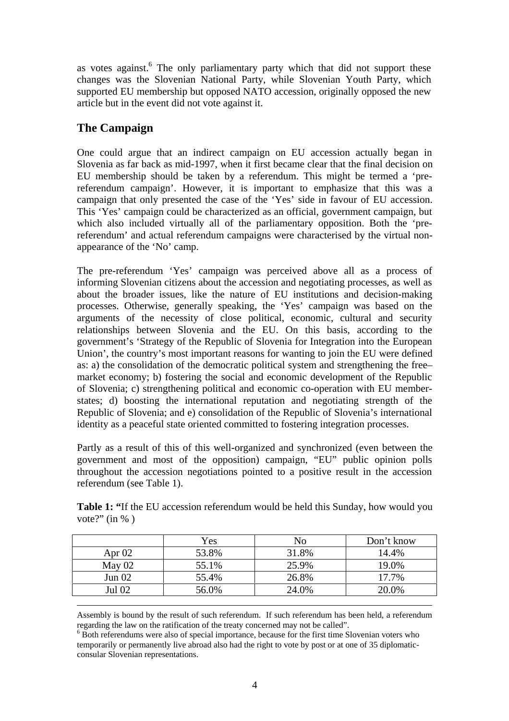as votes against.<sup>6</sup> The only parliamentary party which that did not support these changes was the Slovenian National Party, while Slovenian Youth Party, which supported EU membership but opposed NATO accession, originally opposed the new article but in the event did not vote against it.

# **The Campaign**

One could argue that an indirect campaign on EU accession actually began in Slovenia as far back as mid-1997, when it first became clear that the final decision on EU membership should be taken by a referendum. This might be termed a 'prereferendum campaign'. However, it is important to emphasize that this was a campaign that only presented the case of the 'Yes' side in favour of EU accession. This 'Yes' campaign could be characterized as an official, government campaign, but which also included virtually all of the parliamentary opposition. Both the 'prereferendum' and actual referendum campaigns were characterised by the virtual nonappearance of the 'No' camp.

The pre-referendum 'Yes' campaign was perceived above all as a process of informing Slovenian citizens about the accession and negotiating processes, as well as about the broader issues, like the nature of EU institutions and decision-making processes. Otherwise, generally speaking, the 'Yes' campaign was based on the arguments of the necessity of close political, economic, cultural and security relationships between Slovenia and the EU. On this basis, according to the government's 'Strategy of the Republic of Slovenia for Integration into the European Union', the country's most important reasons for wanting to join the EU were defined as: a) the consolidation of the democratic political system and strengthening the free– market economy; b) fostering the social and economic development of the Republic of Slovenia; c) strengthening political and economic co-operation with EU memberstates; d) boosting the international reputation and negotiating strength of the Republic of Slovenia; and e) consolidation of the Republic of Slovenia's international identity as a peaceful state oriented committed to fostering integration processes.

Partly as a result of this of this well-organized and synchronized (even between the government and most of the opposition) campaign, "EU" public opinion polls throughout the accession negotiations pointed to a positive result in the accession referendum (see Table 1).

**Table 1: "**If the EU accession referendum would be held this Sunday, how would you vote?" (in % )

|          | Yes   | No    | Don't know |
|----------|-------|-------|------------|
| Apr $02$ | 53.8% | 31.8% | 14.4%      |
| May $02$ | 55.1% | 25.9% | 19.0%      |
| Jun $02$ | 55.4% | 26.8% | 17.7%      |
| Jul 02   | 56.0% | 24.0% | 20.0%      |

 Assembly is bound by the result of such referendum. If such referendum has been held, a referendum regarding the law on the ratification of the treaty concerned may not be called".

<sup>&</sup>lt;sup>6</sup> Both referendums were also of special importance, because for the first time Slovenian voters who temporarily or permanently live abroad also had the right to vote by post or at one of 35 diplomaticconsular Slovenian representations.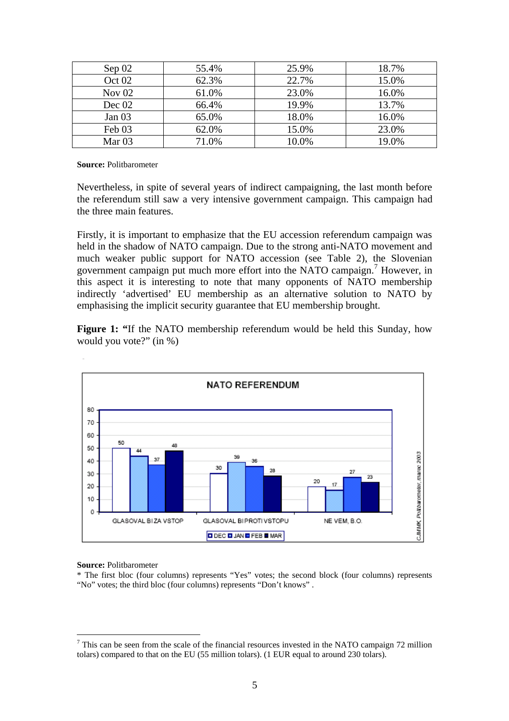| Sep 02   | 55.4% | 25.9% | 18.7% |
|----------|-------|-------|-------|
| Oct $02$ | 62.3% | 22.7% | 15.0% |
| Nov $02$ | 61.0% | 23.0% | 16.0% |
| Dec $02$ | 66.4% | 19.9% | 13.7% |
| Jan $03$ | 65.0% | 18.0% | 16.0% |
| Feb 03   | 62.0% | 15.0% | 23.0% |
| Mar $03$ | 71.0% | 10.0% | 19.0% |

**Source:** Politbarometer

Nevertheless, in spite of several years of indirect campaigning, the last month before the referendum still saw a very intensive government campaign. This campaign had the three main features.

Firstly, it is important to emphasize that the EU accession referendum campaign was held in the shadow of NATO campaign. Due to the strong anti-NATO movement and much weaker public support for NATO accession (see Table 2), the Slovenian government campaign put much more effort into the NATO campaign.<sup>7</sup> However, in this aspect it is interesting to note that many opponents of NATO membership indirectly 'advertised' EU membership as an alternative solution to NATO by emphasising the implicit security guarantee that EU membership brought.

**Figure 1:** "If the NATO membership referendum would be held this Sunday, how would you vote?" (in %)



#### **Source:** Politbarometer

 $\overline{a}$ 

\* The first bloc (four columns) represents "Yes" votes; the second block (four columns) represents "No" votes; the third bloc (four columns) represents "Don't knows".

 $<sup>7</sup>$  This can be seen from the scale of the financial resources invested in the NATO campaign 72 million</sup> tolars) compared to that on the EU (55 million tolars). (1 EUR equal to around 230 tolars).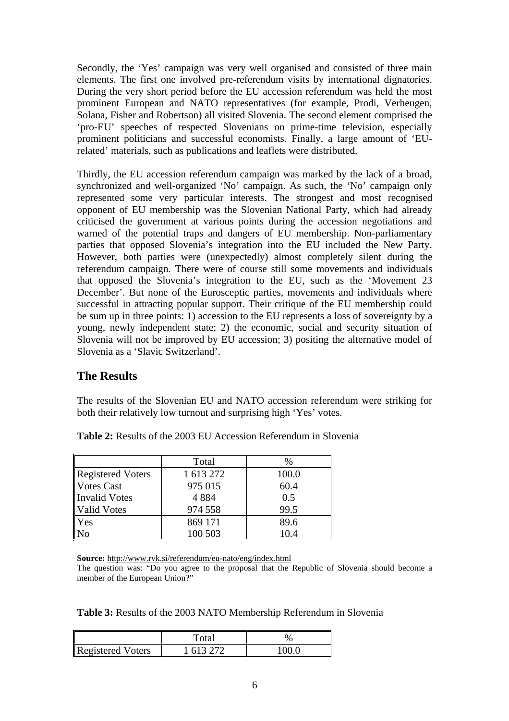Secondly, the 'Yes' campaign was very well organised and consisted of three main elements. The first one involved pre-referendum visits by international dignatories. During the very short period before the EU accession referendum was held the most prominent European and NATO representatives (for example, Prodi, Verheugen, Solana, Fisher and Robertson) all visited Slovenia. The second element comprised the 'pro-EU' speeches of respected Slovenians on prime-time television, especially prominent politicians and successful economists. Finally, a large amount of 'EUrelated' materials, such as publications and leaflets were distributed.

Thirdly, the EU accession referendum campaign was marked by the lack of a broad, synchronized and well-organized 'No' campaign. As such, the 'No' campaign only represented some very particular interests. The strongest and most recognised opponent of EU membership was the Slovenian National Party, which had already criticised the government at various points during the accession negotiations and warned of the potential traps and dangers of EU membership. Non-parliamentary parties that opposed Slovenia's integration into the EU included the New Party. However, both parties were (unexpectedly) almost completely silent during the referendum campaign. There were of course still some movements and individuals that opposed the Slovenia's integration to the EU, such as the 'Movement 23 December'. But none of the Eurosceptic parties, movements and individuals where successful in attracting popular support. Their critique of the EU membership could be sum up in three points: 1) accession to the EU represents a loss of sovereignty by a young, newly independent state; 2) the economic, social and security situation of Slovenia will not be improved by EU accession; 3) positing the alternative model of Slovenia as a 'Slavic Switzerland'.

### **The Results**

The results of the Slovenian EU and NATO accession referendum were striking for both their relatively low turnout and surprising high 'Yes' votes.

|                   | Total     | $\%$  |
|-------------------|-----------|-------|
| Registered Voters | 1 613 272 | 100.0 |
| Votes Cast        | 975 015   | 60.4  |
| Invalid Votes     | 4 8 8 4   | 0.5   |
| Valid Votes       | 974 558   | 99.5  |
| <b>Yes</b>        | 869 171   | 89.6  |
|                   | 100 503   | 10.4  |

**Table 2:** Results of the 2003 EU Accession Referendum in Slovenia

**Source:** http://www.rvk.si/referendum/eu-nato/eng/index.html

The question was: "Do you agree to the proposal that the Republic of Slovenia should become a member of the European Union?"

**Table 3:** Results of the 2003 NATO Membership Referendum in Slovenia

|                          | Total   |       |
|--------------------------|---------|-------|
| <b>Registered Voters</b> | 613.272 | 100 በ |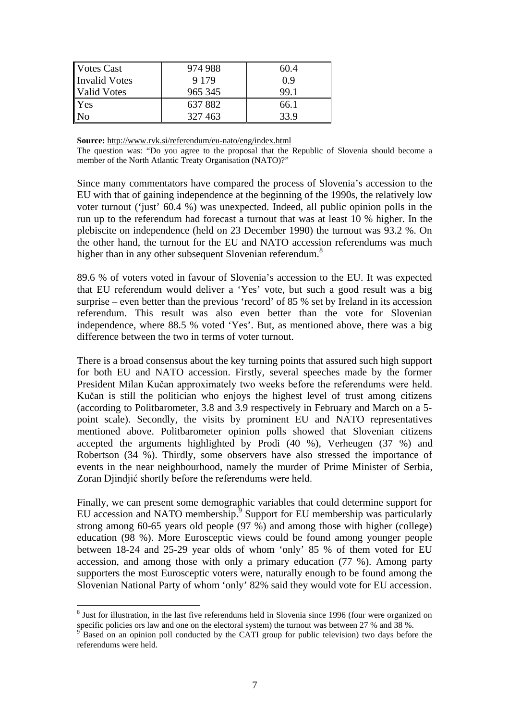| Votes Cast     | 974 988 | 60.4 |
|----------------|---------|------|
| Invalid Votes  | 9 1 7 9 | 0.9  |
| Valid Votes    | 965 345 | 99.1 |
| Yes            | 637882  | 66.1 |
| $\overline{N}$ | 327 463 | 33.9 |

**Source:** http://www.rvk.si/referendum/eu-nato/eng/index.html

The question was: "Do you agree to the proposal that the Republic of Slovenia should become a member of the North Atlantic Treaty Organisation (NATO)?"

Since many commentators have compared the process of Slovenia's accession to the EU with that of gaining independence at the beginning of the 1990s, the relatively low voter turnout ('just' 60.4 %) was unexpected. Indeed, all public opinion polls in the run up to the referendum had forecast a turnout that was at least 10 % higher. In the plebiscite on independence (held on 23 December 1990) the turnout was 93.2 %. On the other hand, the turnout for the EU and NATO accession referendums was much higher than in any other subsequent Slovenian referendum.<sup>8</sup>

89.6 % of voters voted in favour of Slovenia's accession to the EU. It was expected that EU referendum would deliver a 'Yes' vote, but such a good result was a big surprise – even better than the previous 'record' of 85 % set by Ireland in its accession referendum. This result was also even better than the vote for Slovenian independence, where 88.5 % voted 'Yes'. But, as mentioned above, there was a big difference between the two in terms of voter turnout.

There is a broad consensus about the key turning points that assured such high support for both EU and NATO accession. Firstly, several speeches made by the former President Milan Kučan approximately two weeks before the referendums were held. Kučan is still the politician who enjoys the highest level of trust among citizens (according to Politbarometer, 3.8 and 3.9 respectively in February and March on a 5 point scale). Secondly, the visits by prominent EU and NATO representatives mentioned above. Politbarometer opinion polls showed that Slovenian citizens accepted the arguments highlighted by Prodi (40 %), Verheugen (37 %) and Robertson (34 %). Thirdly, some observers have also stressed the importance of events in the near neighbourhood, namely the murder of Prime Minister of Serbia, Zoran Djindjić shortly before the referendums were held.

Finally, we can present some demographic variables that could determine support for EU accession and NATO membership. $9$  Support for EU membership was particularly strong among 60-65 years old people (97 %) and among those with higher (college) education (98 %). More Eurosceptic views could be found among younger people between 18-24 and 25-29 year olds of whom 'only' 85 % of them voted for EU accession, and among those with only a primary education (77 %). Among party supporters the most Eurosceptic voters were, naturally enough to be found among the Slovenian National Party of whom 'only' 82% said they would vote for EU accession.

 $\overline{a}$ 

<sup>&</sup>lt;sup>8</sup> Just for illustration, in the last five referendums held in Slovenia since 1996 (four were organized on specific policies ors law and one on the electoral system) the turnout was between 27 % and 38 %.

Based on an opinion poll conducted by the CATI group for public television) two days before the referendums were held.